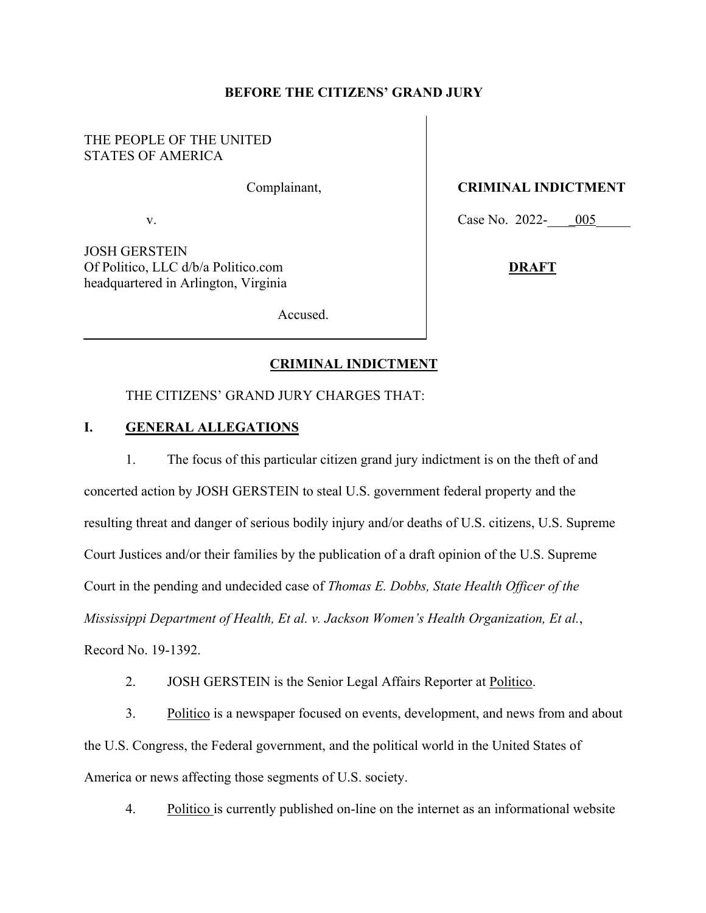### **BEFORE THE CITIZENS' GRAND JURY**

# THE PEOPLE OF THE UNITED STATES OF AMERICA

Complainant,

v.

JOSH GERSTEIN Of Politico, LLC d/b/a Politico.com headquartered in Arlington, Virginia  **CRIMINAL INDICTMENT**

Case No. 2022- $\underline{005}$ 

**DRAFT**

Accused.

### **CRIMINAL INDICTMENT**

THE CITIZENS' GRAND JURY CHARGES THAT:

### **I. GENERAL ALLEGATIONS**

1. The focus of this particular citizen grand jury indictment is on the theft of and concerted action by JOSH GERSTEIN to steal U.S. government federal property and the resulting threat and danger of serious bodily injury and/or deaths of U.S. citizens, U.S. Supreme Court Justices and/or their families by the publication of a draft opinion of the U.S. Supreme Court in the pending and undecided case of *Thomas E. Dobbs, State Health Officer of the Mississippi Department of Health, Et al. v. Jackson Women's Health Organization, Et al.*, Record No. 19-1392.

2. JOSH GERSTEIN is the Senior Legal Affairs Reporter at Politico.

3. Politico is a newspaper focused on events, development, and news from and about the U.S. Congress, the Federal government, and the political world in the United States of America or news affecting those segments of U.S. society.

4. Politico is currently published on-line on the internet as an informational website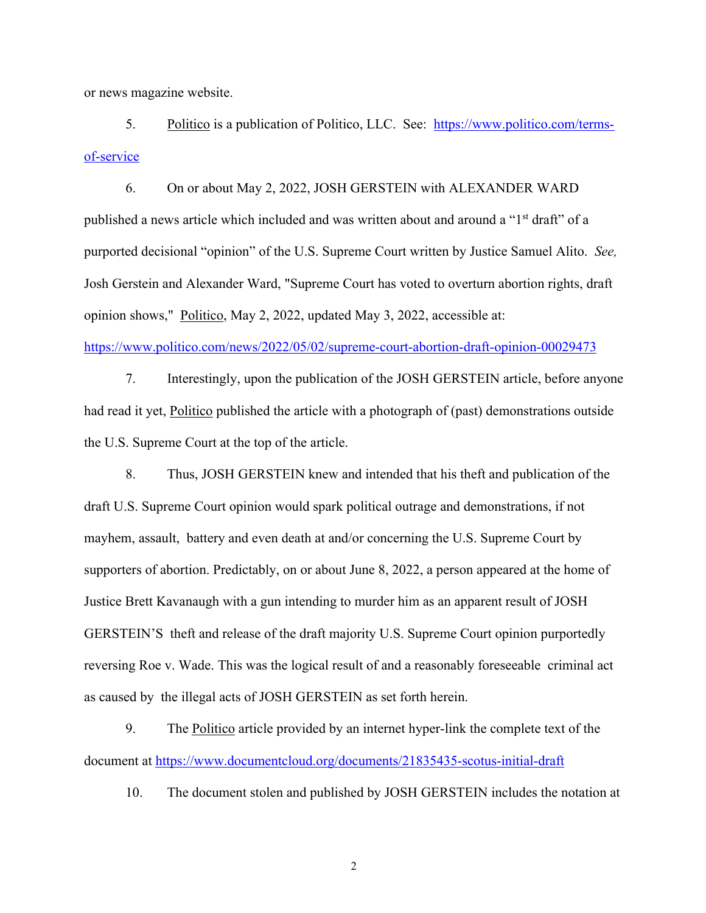or news magazine website.

5. Politico is a publication of Politico, LLC. See: https://www.politico.com/termsof-service

6. On or about May 2, 2022, JOSH GERSTEIN with ALEXANDER WARD published a news article which included and was written about and around a "1<sup>st</sup> draft" of a purported decisional "opinion" of the U.S. Supreme Court written by Justice Samuel Alito. *See,*  Josh Gerstein and Alexander Ward, "Supreme Court has voted to overturn abortion rights, draft opinion shows," Politico, May 2, 2022, updated May 3, 2022, accessible at:

https://www.politico.com/news/2022/05/02/supreme-court-abortion-draft-opinion-00029473

7. Interestingly, upon the publication of the JOSH GERSTEIN article, before anyone had read it yet, Politico published the article with a photograph of (past) demonstrations outside the U.S. Supreme Court at the top of the article.

8. Thus, JOSH GERSTEIN knew and intended that his theft and publication of the draft U.S. Supreme Court opinion would spark political outrage and demonstrations, if not mayhem, assault, battery and even death at and/or concerning the U.S. Supreme Court by supporters of abortion. Predictably, on or about June 8, 2022, a person appeared at the home of Justice Brett Kavanaugh with a gun intending to murder him as an apparent result of JOSH GERSTEIN'S theft and release of the draft majority U.S. Supreme Court opinion purportedly reversing Roe v. Wade. This was the logical result of and a reasonably foreseeable criminal act as caused by the illegal acts of JOSH GERSTEIN as set forth herein.

9. The Politico article provided by an internet hyper-link the complete text of the document at https://www.documentcloud.org/documents/21835435-scotus-initial-draft

10. The document stolen and published by JOSH GERSTEIN includes the notation at

2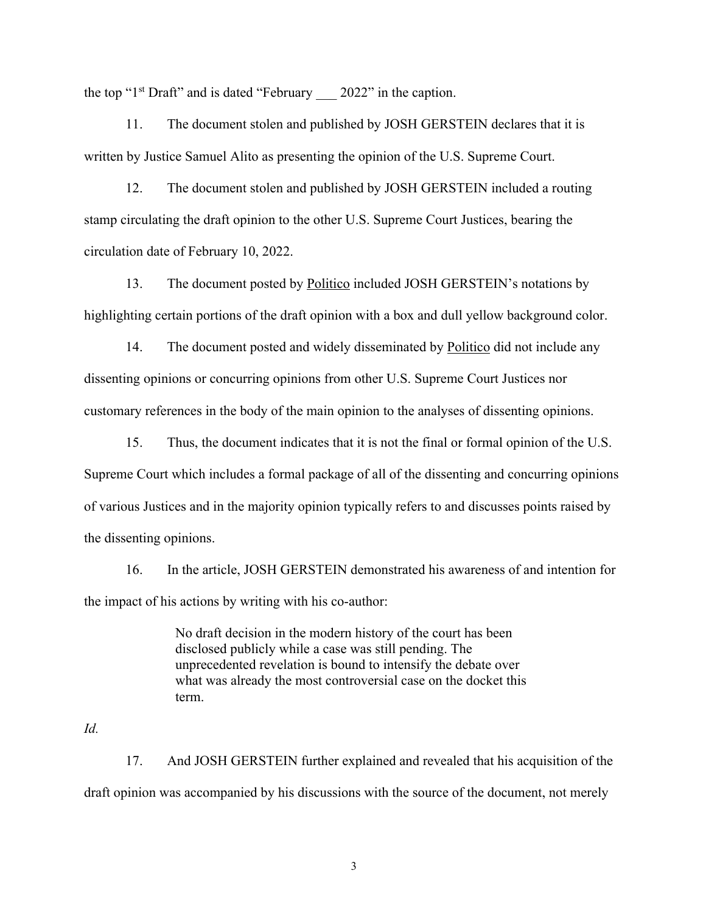the top " $1<sup>st</sup>$  Draft" and is dated "February  $2022$ " in the caption.

11. The document stolen and published by JOSH GERSTEIN declares that it is written by Justice Samuel Alito as presenting the opinion of the U.S. Supreme Court.

12. The document stolen and published by JOSH GERSTEIN included a routing stamp circulating the draft opinion to the other U.S. Supreme Court Justices, bearing the circulation date of February 10, 2022.

13. The document posted by Politico included JOSH GERSTEIN's notations by highlighting certain portions of the draft opinion with a box and dull yellow background color.

14. The document posted and widely disseminated by Politico did not include any dissenting opinions or concurring opinions from other U.S. Supreme Court Justices nor customary references in the body of the main opinion to the analyses of dissenting opinions.

15. Thus, the document indicates that it is not the final or formal opinion of the U.S. Supreme Court which includes a formal package of all of the dissenting and concurring opinions of various Justices and in the majority opinion typically refers to and discusses points raised by the dissenting opinions.

16. In the article, JOSH GERSTEIN demonstrated his awareness of and intention for the impact of his actions by writing with his co-author:

> No draft decision in the modern history of the court has been disclosed publicly while a case was still pending. The unprecedented revelation is bound to intensify the debate over what was already the most controversial case on the docket this term.

#### *Id.*

17. And JOSH GERSTEIN further explained and revealed that his acquisition of the draft opinion was accompanied by his discussions with the source of the document, not merely

3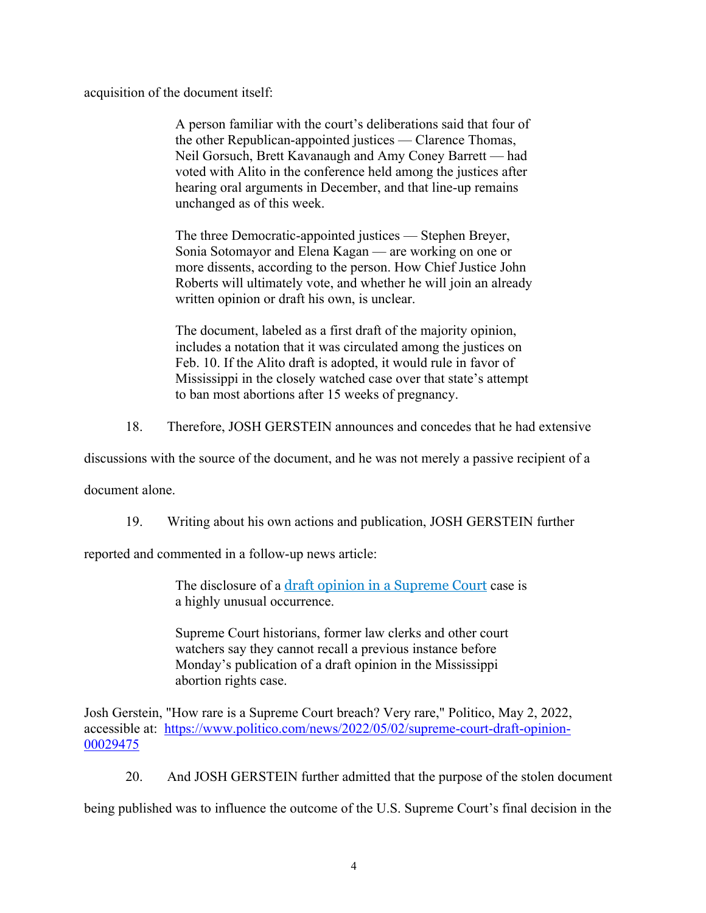acquisition of the document itself:

A person familiar with the court's deliberations said that four of the other Republican-appointed justices — Clarence Thomas, Neil Gorsuch, Brett Kavanaugh and Amy Coney Barrett — had voted with Alito in the conference held among the justices after hearing oral arguments in December, and that line-up remains unchanged as of this week.

The three Democratic-appointed justices — Stephen Breyer, Sonia Sotomayor and Elena Kagan — are working on one or more dissents, according to the person. How Chief Justice John Roberts will ultimately vote, and whether he will join an already written opinion or draft his own, is unclear.

The document, labeled as a first draft of the majority opinion, includes a notation that it was circulated among the justices on Feb. 10. If the Alito draft is adopted, it would rule in favor of Mississippi in the closely watched case over that state's attempt to ban most abortions after 15 weeks of pregnancy.

18. Therefore, JOSH GERSTEIN announces and concedes that he had extensive

discussions with the source of the document, and he was not merely a passive recipient of a

document alone.

19. Writing about his own actions and publication, JOSH GERSTEIN further

reported and commented in a follow-up news article:

The disclosure of a draft opinion in a Supreme Court case is a highly unusual occurrence.

Supreme Court historians, former law clerks and other court watchers say they cannot recall a previous instance before Monday's publication of a draft opinion in the Mississippi abortion rights case.

Josh Gerstein, "How rare is a Supreme Court breach? Very rare," Politico, May 2, 2022, accessible at: https://www.politico.com/news/2022/05/02/supreme-court-draft-opinion-00029475

20. And JOSH GERSTEIN further admitted that the purpose of the stolen document

being published was to influence the outcome of the U.S. Supreme Court's final decision in the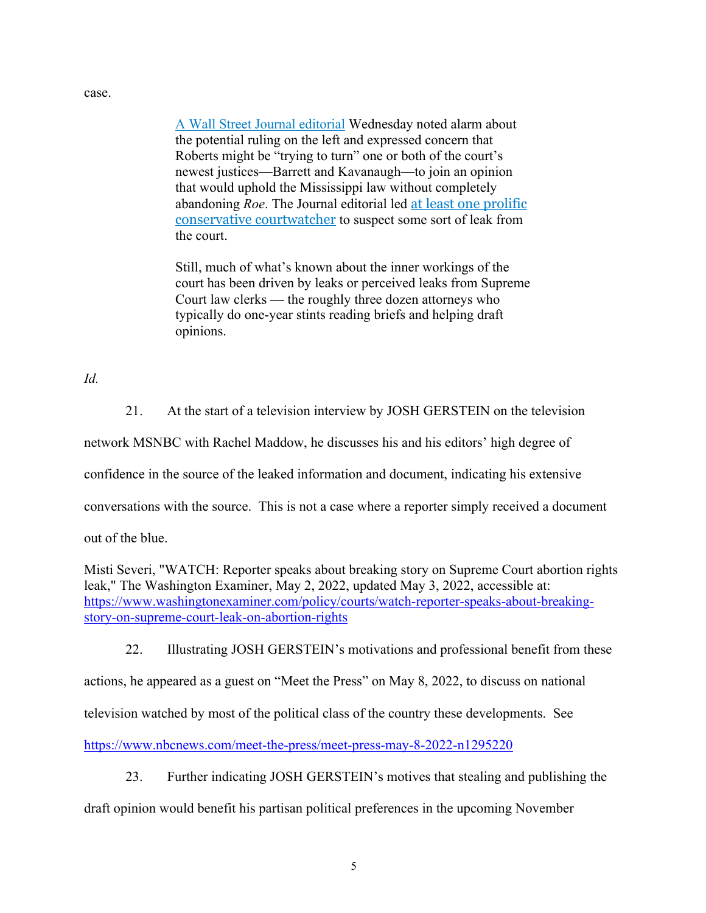#### case.

A Wall Street Journal editorial Wednesday noted alarm about the potential ruling on the left and expressed concern that Roberts might be "trying to turn" one or both of the court's newest justices—Barrett and Kavanaugh—to join an opinion that would uphold the Mississippi law without completely abandoning *Roe*. The Journal editorial led at least one prolific conservative courtwatcher to suspect some sort of leak from the court.

Still, much of what's known about the inner workings of the court has been driven by leaks or perceived leaks from Supreme Court law clerks — the roughly three dozen attorneys who typically do one-year stints reading briefs and helping draft opinions.

## *Id.*

21. At the start of a television interview by JOSH GERSTEIN on the television

network MSNBC with Rachel Maddow, he discusses his and his editors' high degree of

confidence in the source of the leaked information and document, indicating his extensive

conversations with the source. This is not a case where a reporter simply received a document

out of the blue.

Misti Severi, "WATCH: Reporter speaks about breaking story on Supreme Court abortion rights leak," The Washington Examiner, May 2, 2022, updated May 3, 2022, accessible at: https://www.washingtonexaminer.com/policy/courts/watch-reporter-speaks-about-breakingstory-on-supreme-court-leak-on-abortion-rights

22. Illustrating JOSH GERSTEIN's motivations and professional benefit from these

actions, he appeared as a guest on "Meet the Press" on May 8, 2022, to discuss on national

television watched by most of the political class of the country these developments. See

https://www.nbcnews.com/meet-the-press/meet-press-may-8-2022-n1295220

23. Further indicating JOSH GERSTEIN's motives that stealing and publishing the

draft opinion would benefit his partisan political preferences in the upcoming November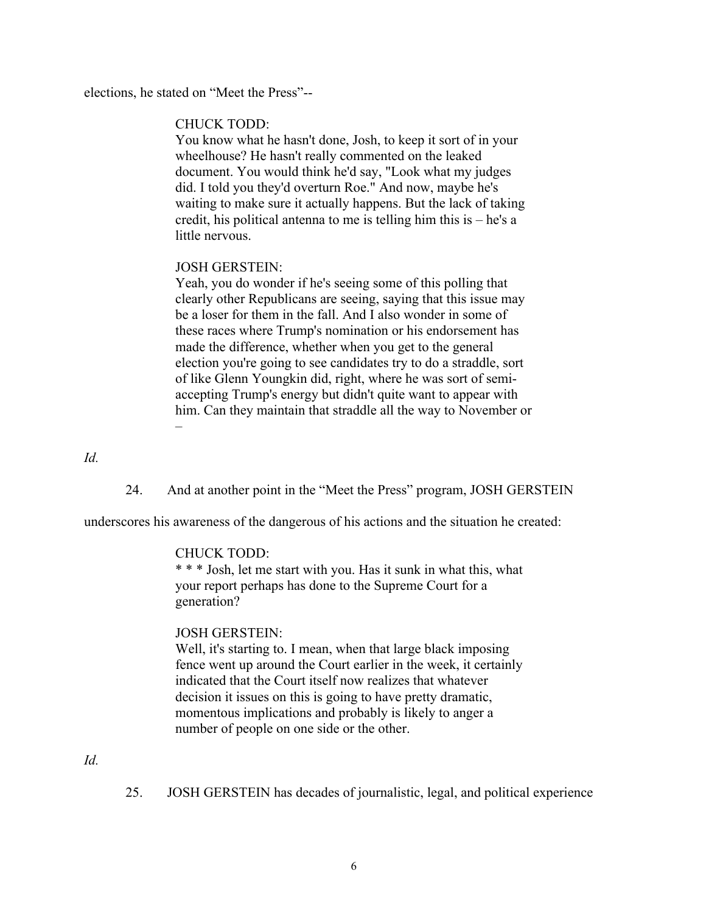elections, he stated on "Meet the Press"--

#### CHUCK TODD:

You know what he hasn't done, Josh, to keep it sort of in your wheelhouse? He hasn't really commented on the leaked document. You would think he'd say, "Look what my judges did. I told you they'd overturn Roe." And now, maybe he's waiting to make sure it actually happens. But the lack of taking credit, his political antenna to me is telling him this is – he's a little nervous.

### JOSH GERSTEIN:

Yeah, you do wonder if he's seeing some of this polling that clearly other Republicans are seeing, saying that this issue may be a loser for them in the fall. And I also wonder in some of these races where Trump's nomination or his endorsement has made the difference, whether when you get to the general election you're going to see candidates try to do a straddle, sort of like Glenn Youngkin did, right, where he was sort of semiaccepting Trump's energy but didn't quite want to appear with him. Can they maintain that straddle all the way to November or –

*Id.*

#### 24. And at another point in the "Meet the Press" program, JOSH GERSTEIN

underscores his awareness of the dangerous of his actions and the situation he created:

### CHUCK TODD:

\* \* \* Josh, let me start with you. Has it sunk in what this, what your report perhaps has done to the Supreme Court for a generation?

### JOSH GERSTEIN:

Well, it's starting to. I mean, when that large black imposing fence went up around the Court earlier in the week, it certainly indicated that the Court itself now realizes that whatever decision it issues on this is going to have pretty dramatic, momentous implications and probably is likely to anger a number of people on one side or the other.

*Id.*

25. JOSH GERSTEIN has decades of journalistic, legal, and political experience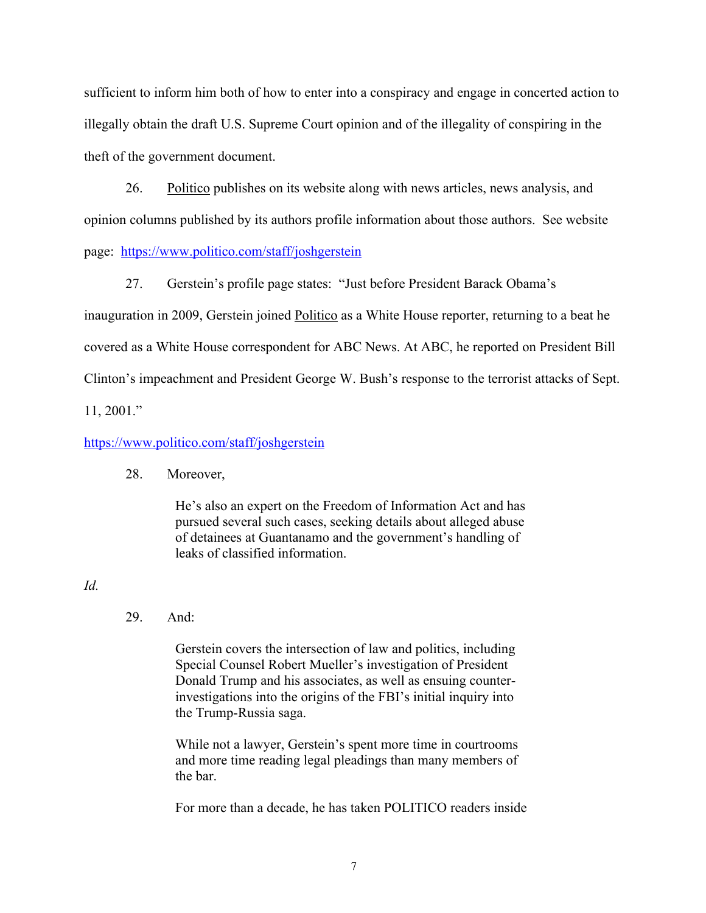sufficient to inform him both of how to enter into a conspiracy and engage in concerted action to illegally obtain the draft U.S. Supreme Court opinion and of the illegality of conspiring in the theft of the government document.

26. Politico publishes on its website along with news articles, news analysis, and opinion columns published by its authors profile information about those authors. See website page: https://www.politico.com/staff/joshgerstein

27. Gerstein's profile page states: "Just before President Barack Obama's inauguration in 2009, Gerstein joined **Politico** as a White House reporter, returning to a beat he covered as a White House correspondent for ABC News. At ABC, he reported on President Bill Clinton's impeachment and President George W. Bush's response to the terrorist attacks of Sept. 11, 2001."

## https://www.politico.com/staff/joshgerstein

### 28. Moreover,

He's also an expert on the Freedom of Information Act and has pursued several such cases, seeking details about alleged abuse of detainees at Guantanamo and the government's handling of leaks of classified information.

## *Id.*

# 29. And:

Gerstein covers the intersection of law and politics, including Special Counsel Robert Mueller's investigation of President Donald Trump and his associates, as well as ensuing counterinvestigations into the origins of the FBI's initial inquiry into the Trump-Russia saga.

While not a lawyer, Gerstein's spent more time in courtrooms and more time reading legal pleadings than many members of the bar.

For more than a decade, he has taken POLITICO readers inside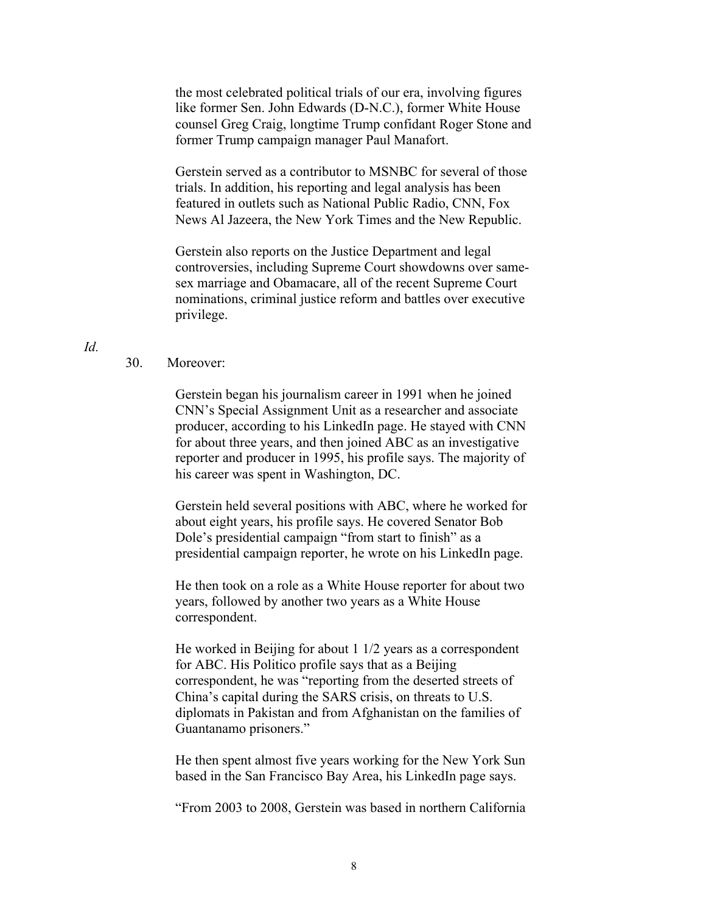the most celebrated political trials of our era, involving figures like former Sen. John Edwards (D-N.C.), former White House counsel Greg Craig, longtime Trump confidant Roger Stone and former Trump campaign manager Paul Manafort.

Gerstein served as a contributor to MSNBC for several of those trials. In addition, his reporting and legal analysis has been featured in outlets such as National Public Radio, CNN, Fox News Al Jazeera, the New York Times and the New Republic.

Gerstein also reports on the Justice Department and legal controversies, including Supreme Court showdowns over samesex marriage and Obamacare, all of the recent Supreme Court nominations, criminal justice reform and battles over executive privilege.

### *Id.*

### 30. Moreover:

Gerstein began his journalism career in 1991 when he joined CNN's Special Assignment Unit as a researcher and associate producer, according to his LinkedIn page. He stayed with CNN for about three years, and then joined ABC as an investigative reporter and producer in 1995, his profile says. The majority of his career was spent in Washington, DC.

Gerstein held several positions with ABC, where he worked for about eight years, his profile says. He covered Senator Bob Dole's presidential campaign "from start to finish" as a presidential campaign reporter, he wrote on his LinkedIn page.

He then took on a role as a White House reporter for about two years, followed by another two years as a White House correspondent.

He worked in Beijing for about 1 1/2 years as a correspondent for ABC. His Politico profile says that as a Beijing correspondent, he was "reporting from the deserted streets of China's capital during the SARS crisis, on threats to U.S. diplomats in Pakistan and from Afghanistan on the families of Guantanamo prisoners."

He then spent almost five years working for the New York Sun based in the San Francisco Bay Area, his LinkedIn page says.

"From 2003 to 2008, Gerstein was based in northern California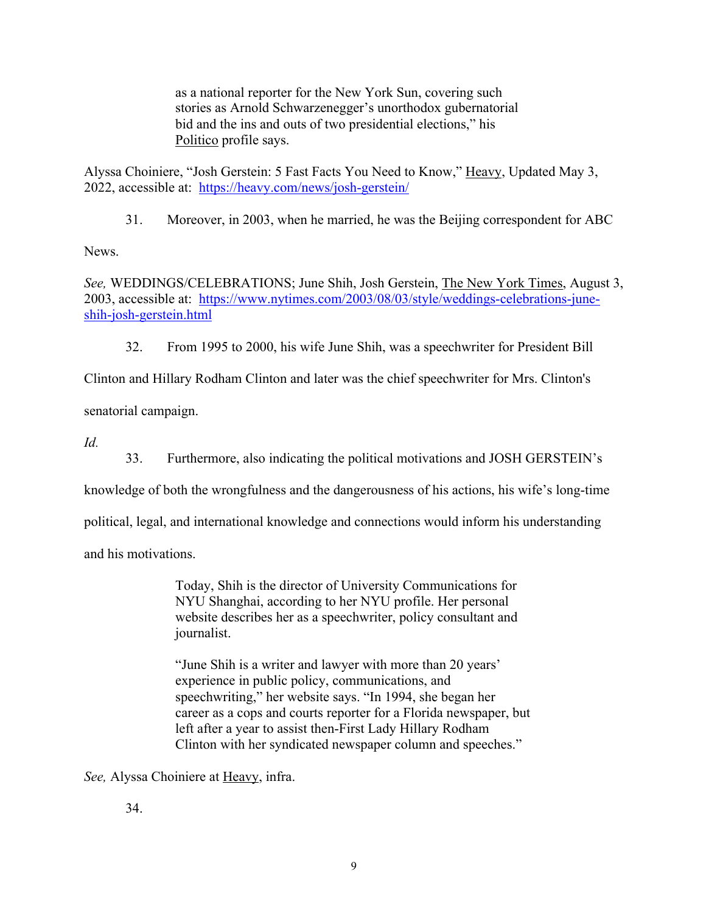as a national reporter for the New York Sun, covering such stories as Arnold Schwarzenegger's unorthodox gubernatorial bid and the ins and outs of two presidential elections," his Politico profile says.

Alyssa Choiniere, "Josh Gerstein: 5 Fast Facts You Need to Know," Heavy, Updated May 3, 2022, accessible at: https://heavy.com/news/josh-gerstein/

31. Moreover, in 2003, when he married, he was the Beijing correspondent for ABC

News.

*See,* WEDDINGS/CELEBRATIONS; June Shih, Josh Gerstein, The New York Times, August 3, 2003, accessible at: https://www.nytimes.com/2003/08/03/style/weddings-celebrations-juneshih-josh-gerstein.html

32. From 1995 to 2000, his wife June Shih, was a speechwriter for President Bill

Clinton and Hillary Rodham Clinton and later was the chief speechwriter for Mrs. Clinton's

senatorial campaign.

*Id.*

33. Furthermore, also indicating the political motivations and JOSH GERSTEIN's

knowledge of both the wrongfulness and the dangerousness of his actions, his wife's long-time

political, legal, and international knowledge and connections would inform his understanding

and his motivations.

Today, Shih is the director of University Communications for NYU Shanghai, according to her NYU profile. Her personal website describes her as a speechwriter, policy consultant and journalist.

"June Shih is a writer and lawyer with more than 20 years' experience in public policy, communications, and speechwriting," her website says. "In 1994, she began her career as a cops and courts reporter for a Florida newspaper, but left after a year to assist then-First Lady Hillary Rodham Clinton with her syndicated newspaper column and speeches."

*See,* Alyssa Choiniere at Heavy, infra.

34.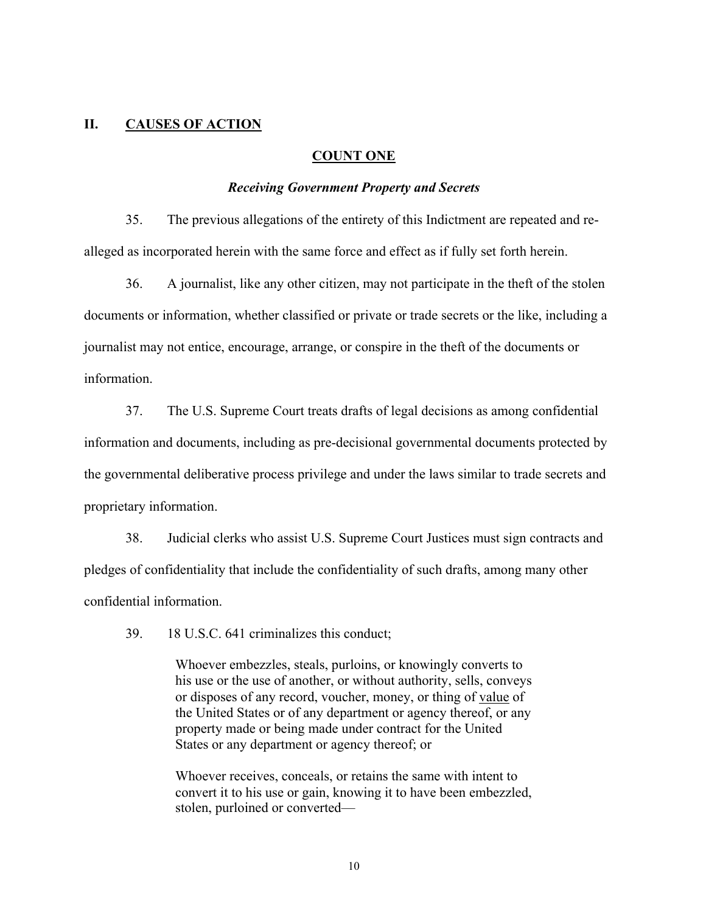### **II. CAUSES OF ACTION**

#### **COUNT ONE**

#### *Receiving Government Property and Secrets*

35. The previous allegations of the entirety of this Indictment are repeated and realleged as incorporated herein with the same force and effect as if fully set forth herein.

36. A journalist, like any other citizen, may not participate in the theft of the stolen documents or information, whether classified or private or trade secrets or the like, including a journalist may not entice, encourage, arrange, or conspire in the theft of the documents or information.

37. The U.S. Supreme Court treats drafts of legal decisions as among confidential information and documents, including as pre-decisional governmental documents protected by the governmental deliberative process privilege and under the laws similar to trade secrets and proprietary information.

38. Judicial clerks who assist U.S. Supreme Court Justices must sign contracts and pledges of confidentiality that include the confidentiality of such drafts, among many other confidential information.

39. 18 U.S.C. 641 criminalizes this conduct;

Whoever embezzles, steals, purloins, or knowingly converts to his use or the use of another, or without authority, sells, conveys or disposes of any record, voucher, money, or thing of value of the United States or of any department or agency thereof, or any property made or being made under contract for the United States or any department or agency thereof; or

Whoever receives, conceals, or retains the same with intent to convert it to his use or gain, knowing it to have been embezzled, stolen, purloined or converted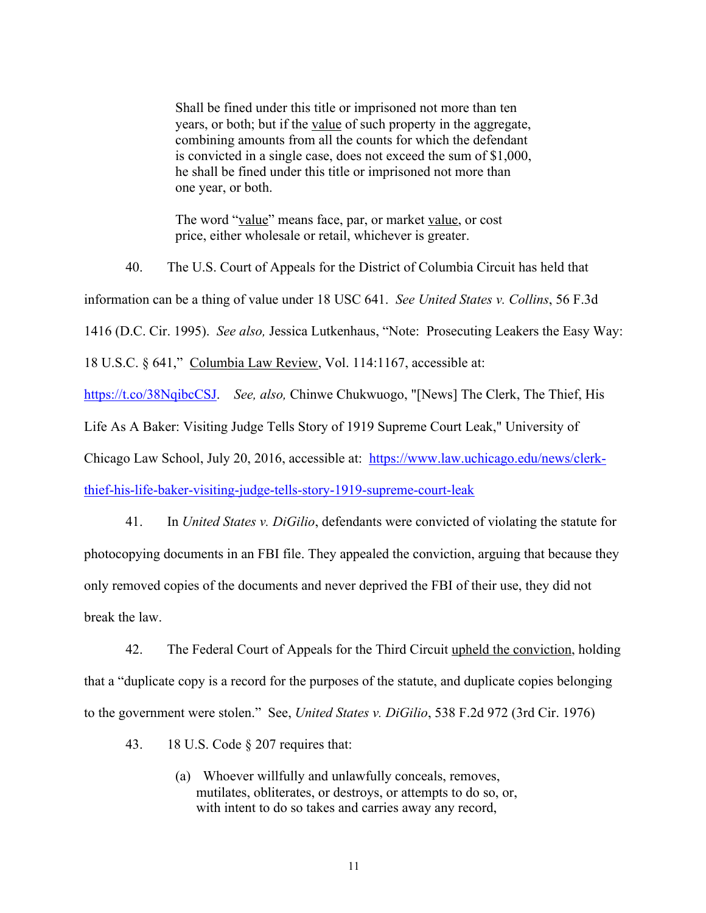Shall be fined under this title or imprisoned not more than ten years, or both; but if the value of such property in the aggregate, combining amounts from all the counts for which the defendant is convicted in a single case, does not exceed the sum of \$1,000, he shall be fined under this title or imprisoned not more than one year, or both.

The word "value" means face, par, or market value, or cost price, either wholesale or retail, whichever is greater.

40. The U.S. Court of Appeals for the District of Columbia Circuit has held that information can be a thing of value under 18 USC 641. *See United States v. Collins*, 56 F.3d 1416 (D.C. Cir. 1995). *See also,* Jessica Lutkenhaus, "Note: Prosecuting Leakers the Easy Way: 18 U.S.C. § 641," Columbia Law Review, Vol. 114:1167, accessible at: https://t.co/38NqibcCSJ. *See, also,* Chinwe Chukwuogo, "[News] The Clerk, The Thief, His Life As A Baker: Visiting Judge Tells Story of 1919 Supreme Court Leak," University of Chicago Law School, July 20, 2016, accessible at: https://www.law.uchicago.edu/news/clerkthief-his-life-baker-visiting-judge-tells-story-1919-supreme-court-leak

41. In *United States v. DiGilio*, defendants were convicted of violating the statute for photocopying documents in an FBI file. They appealed the conviction, arguing that because they only removed copies of the documents and never deprived the FBI of their use, they did not break the law.

42. The Federal Court of Appeals for the Third Circuit upheld the conviction, holding that a "duplicate copy is a record for the purposes of the statute, and duplicate copies belonging to the government were stolen." See, *United States v. DiGilio*, 538 F.2d 972 (3rd Cir. 1976)

43. 18 U.S. Code § 207 requires that:

(a) Whoever willfully and unlawfully conceals, removes, mutilates, obliterates, or destroys, or attempts to do so, or, with intent to do so takes and carries away any record,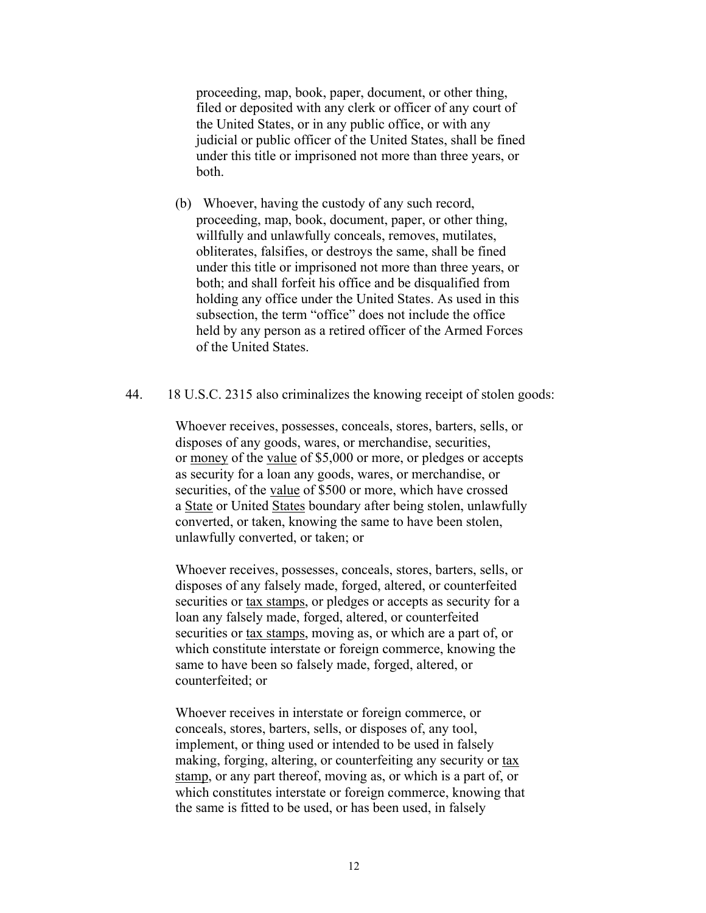proceeding, map, book, paper, document, or other thing, filed or deposited with any clerk or officer of any court of the United States, or in any public office, or with any judicial or public officer of the United States, shall be fined under this title or imprisoned not more than three years, or both.

(b) Whoever, having the custody of any such record, proceeding, map, book, document, paper, or other thing, willfully and unlawfully conceals, removes, mutilates, obliterates, falsifies, or destroys the same, shall be fined under this title or imprisoned not more than three years, or both; and shall forfeit his office and be disqualified from holding any office under the United States. As used in this subsection, the term "office" does not include the office held by any person as a retired officer of the Armed Forces of the United States.

## 44. 18 U.S.C. 2315 also criminalizes the knowing receipt of stolen goods:

Whoever receives, possesses, conceals, stores, barters, sells, or disposes of any goods, wares, or merchandise, securities, or money of the value of \$5,000 or more, or pledges or accepts as security for a loan any goods, wares, or merchandise, or securities, of the value of \$500 or more, which have crossed a State or United States boundary after being stolen, unlawfully converted, or taken, knowing the same to have been stolen, unlawfully converted, or taken; or

Whoever receives, possesses, conceals, stores, barters, sells, or disposes of any falsely made, forged, altered, or counterfeited securities or tax stamps, or pledges or accepts as security for a loan any falsely made, forged, altered, or counterfeited securities or tax stamps, moving as, or which are a part of, or which constitute interstate or foreign commerce, knowing the same to have been so falsely made, forged, altered, or counterfeited; or

Whoever receives in interstate or foreign commerce, or conceals, stores, barters, sells, or disposes of, any tool, implement, or thing used or intended to be used in falsely making, forging, altering, or counterfeiting any security or tax stamp, or any part thereof, moving as, or which is a part of, or which constitutes interstate or foreign commerce, knowing that the same is fitted to be used, or has been used, in falsely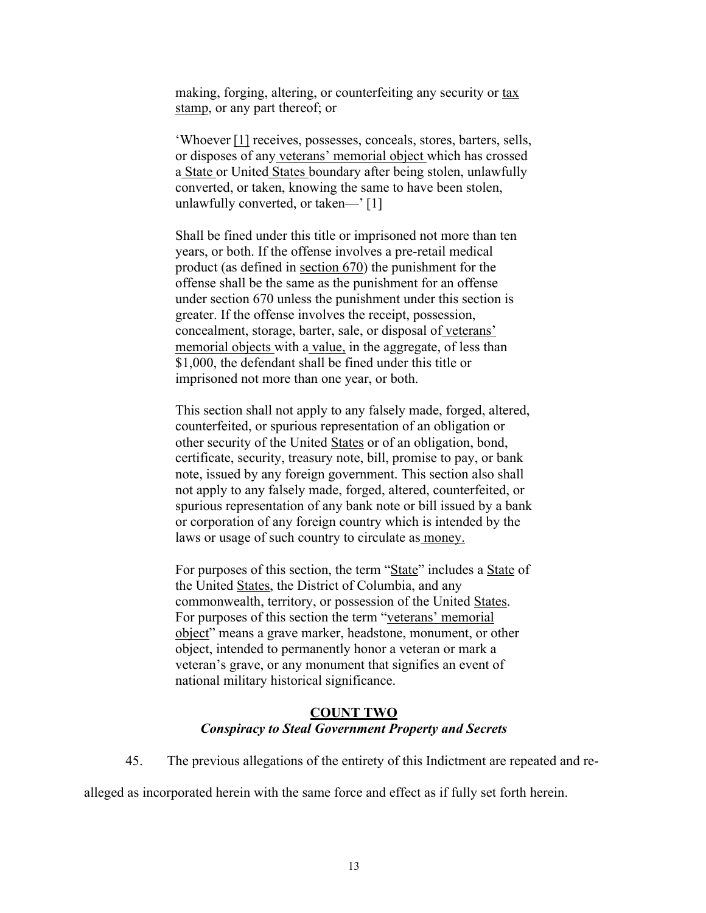making, forging, altering, or counterfeiting any security or tax stamp, or any part thereof; or

'Whoever [1] receives, possesses, conceals, stores, barters, sells, or disposes of any veterans' memorial object which has crossed a State or United States boundary after being stolen, unlawfully converted, or taken, knowing the same to have been stolen, unlawfully converted, or taken—' [1]

Shall be fined under this title or imprisoned not more than ten years, or both. If the offense involves a pre-retail medical product (as defined in section 670) the punishment for the offense shall be the same as the punishment for an offense under section 670 unless the punishment under this section is greater. If the offense involves the receipt, possession, concealment, storage, barter, sale, or disposal of veterans' memorial objects with a value, in the aggregate, of less than \$1,000, the defendant shall be fined under this title or imprisoned not more than one year, or both.

This section shall not apply to any falsely made, forged, altered, counterfeited, or spurious representation of an obligation or other security of the United States or of an obligation, bond, certificate, security, treasury note, bill, promise to pay, or bank note, issued by any foreign government. This section also shall not apply to any falsely made, forged, altered, counterfeited, or spurious representation of any bank note or bill issued by a bank or corporation of any foreign country which is intended by the laws or usage of such country to circulate as money.

For purposes of this section, the term "State" includes a State of the United States, the District of Columbia, and any commonwealth, territory, or possession of the United States. For purposes of this section the term "veterans' memorial object" means a grave marker, headstone, monument, or other object, intended to permanently honor a veteran or mark a veteran's grave, or any monument that signifies an event of national military historical significance.

### **COUNT TWO** *Conspiracy to Steal Government Property and Secrets*

45. The previous allegations of the entirety of this Indictment are repeated and re-

alleged as incorporated herein with the same force and effect as if fully set forth herein.